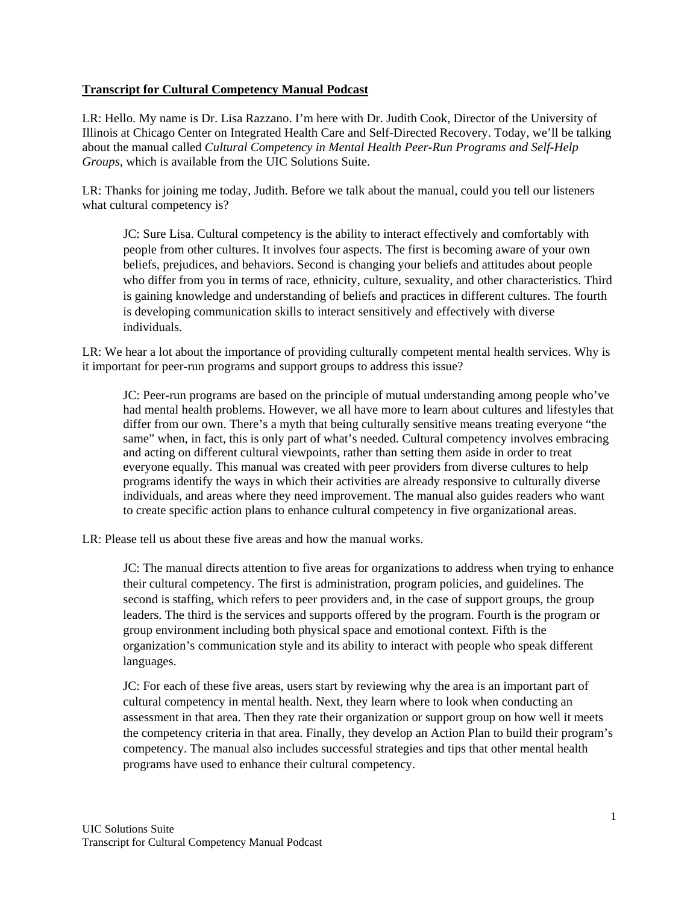## **Transcript for Cultural Competency Manual Podcast**

LR: Hello. My name is Dr. Lisa Razzano. I'm here with Dr. Judith Cook, Director of the University of Illinois at Chicago Center on Integrated Health Care and Self-Directed Recovery. Today, we'll be talking about the manual called *Cultural Competency in Mental Health Peer-Run Programs and Self-Help Groups,* which is available from the UIC Solutions Suite.

LR: Thanks for joining me today, Judith. Before we talk about the manual, could you tell our listeners what cultural competency is?

JC: Sure Lisa. Cultural competency is the ability to interact effectively and comfortably with people from other cultures. It involves four aspects. The first is becoming aware of your own beliefs, prejudices, and behaviors. Second is changing your beliefs and attitudes about people who differ from you in terms of race, ethnicity, culture, sexuality, and other characteristics. Third is gaining knowledge and understanding of beliefs and practices in different cultures. The fourth is developing communication skills to interact sensitively and effectively with diverse individuals.

LR: We hear a lot about the importance of providing culturally competent mental health services. Why is it important for peer-run programs and support groups to address this issue?

JC: Peer-run programs are based on the principle of mutual understanding among people who've had mental health problems. However, we all have more to learn about cultures and lifestyles that differ from our own. There's a myth that being culturally sensitive means treating everyone "the same" when, in fact, this is only part of what's needed. Cultural competency involves embracing and acting on different cultural viewpoints, rather than setting them aside in order to treat everyone equally. This manual was created with peer providers from diverse cultures to help programs identify the ways in which their activities are already responsive to culturally diverse individuals, and areas where they need improvement. The manual also guides readers who want to create specific action plans to enhance cultural competency in five organizational areas.

LR: Please tell us about these five areas and how the manual works.

JC: The manual directs attention to five areas for organizations to address when trying to enhance their cultural competency. The first is administration, program policies, and guidelines. The second is staffing, which refers to peer providers and, in the case of support groups, the group leaders. The third is the services and supports offered by the program. Fourth is the program or group environment including both physical space and emotional context. Fifth is the organization's communication style and its ability to interact with people who speak different languages.

JC: For each of these five areas, users start by reviewing why the area is an important part of cultural competency in mental health. Next, they learn where to look when conducting an assessment in that area. Then they rate their organization or support group on how well it meets the competency criteria in that area. Finally, they develop an Action Plan to build their program's competency. The manual also includes successful strategies and tips that other mental health programs have used to enhance their cultural competency.